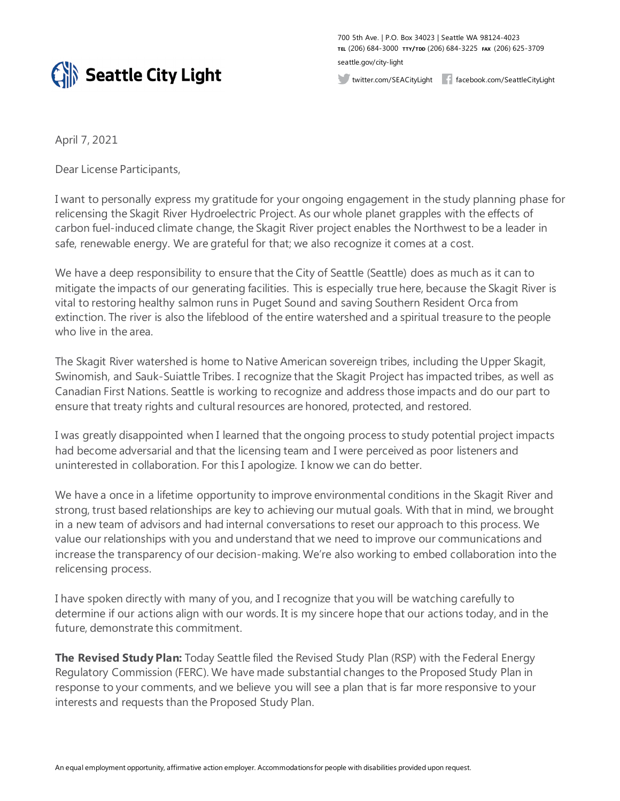

700 5th Ave. | P.O. Box 34023 | Seattle WA 98124-4023 **TEL** (206) 684-3000 **TTY/TDD** (206) 684-3225 **FAX** (206) 625-3709 seattle.gov/city-light

twitter.com/SEACityLight facebook.com/SeattleCityLight

April 7, 2021

Dear License Participants,

I want to personally express my gratitude for your ongoing engagement in the study planning phase for relicensing the Skagit River Hydroelectric Project. As our whole planet grapples with the effects of carbon fuel-induced climate change, the Skagit River project enables the Northwest to be a leader in safe, renewable energy. We are grateful for that; we also recognize it comes at a cost.

We have a deep responsibility to ensure that the City of Seattle (Seattle) does as much as it can to mitigate the impacts of our generating facilities. This is especially true here, because the Skagit River is vital to restoring healthy salmon runs in Puget Sound and saving Southern Resident Orca from extinction. The river is also the lifeblood of the entire watershed and a spiritual treasure to the people who live in the area.

The Skagit River watershed is home to Native American sovereign tribes, including the Upper Skagit, Swinomish, and Sauk-Suiattle Tribes. I recognize that the Skagit Project has impacted tribes, as well as Canadian First Nations. Seattle is working to recognize and address those impacts and do our part to ensure that treaty rights and cultural resources are honored, protected, and restored.

I was greatly disappointed when I learned that the ongoing process to study potential project impacts had become adversarial and that the licensing team and I were perceived as poor listeners and uninterested in collaboration. For this I apologize. I know we can do better.

We have a once in a lifetime opportunity to improve environmental conditions in the Skagit River and strong, trust based relationships are key to achieving our mutual goals. With that in mind, we brought in a new team of advisors and had internal conversations to reset our approach to this process. We value our relationships with you and understand that we need to improve our communications and increase the transparency of our decision-making. We're also working to embed collaboration into the relicensing process.

I have spoken directly with many of you, and I recognize that you will be watching carefully to determine if our actions align with our words. It is my sincere hope that our actions today, and in the future, demonstrate this commitment.

**The Revised Study Plan:** Today Seattle filed the Revised Study Plan (RSP) with the Federal Energy Regulatory Commission (FERC). We have made substantial changes to the Proposed Study Plan in response to your comments, and we believe you will see a plan that is far more responsive to your interests and requests than the Proposed Study Plan.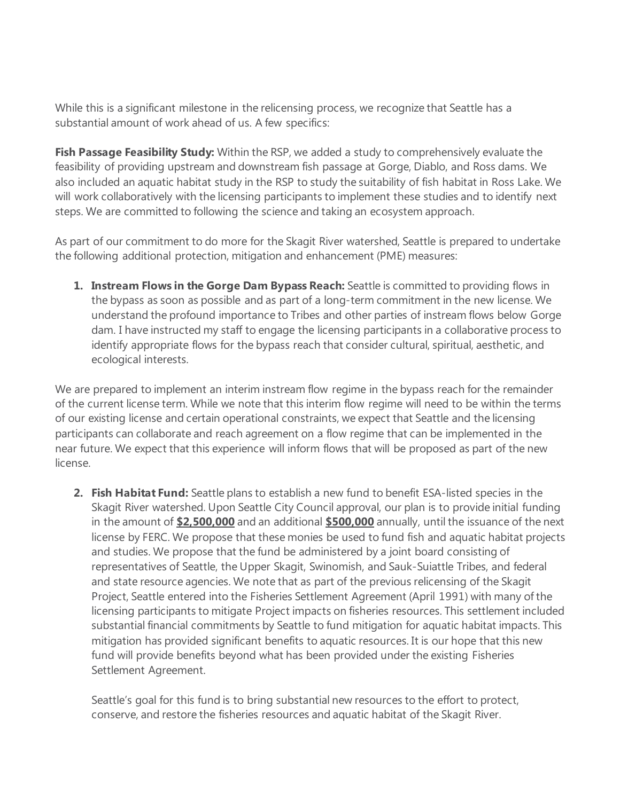While this is a significant milestone in the relicensing process, we recognize that Seattle has a substantial amount of work ahead of us. A few specifics:

**Fish Passage Feasibility Study:** Within the RSP, we added a study to comprehensively evaluate the feasibility of providing upstream and downstream fish passage at Gorge, Diablo, and Ross dams. We also included an aquatic habitat study in the RSP to study the suitability of fish habitat in Ross Lake. We will work collaboratively with the licensing participants to implement these studies and to identify next steps. We are committed to following the science and taking an ecosystem approach.

As part of our commitment to do more for the Skagit River watershed, Seattle is prepared to undertake the following additional protection, mitigation and enhancement (PME) measures:

**1. Instream Flows in the Gorge Dam Bypass Reach:** Seattle is committed to providing flows in the bypass as soon as possible and as part of a long-term commitment in the new license. We understand the profound importance to Tribes and other parties of instream flows below Gorge dam. I have instructed my staff to engage the licensing participants in a collaborative process to identify appropriate flows for the bypass reach that consider cultural, spiritual, aesthetic, and ecological interests.

We are prepared to implement an interim instream flow regime in the bypass reach for the remainder of the current license term. While we note that this interim flow regime will need to be within the terms of our existing license and certain operational constraints, we expect that Seattle and the licensing participants can collaborate and reach agreement on a flow regime that can be implemented in the near future. We expect that this experience will inform flows that will be proposed as part of the new license.

**2. Fish Habitat Fund:** Seattle plans to establish a new fund to benefit ESA-listed species in the Skagit River watershed. Upon Seattle City Council approval, our plan is to provide initial funding in the amount of **\$2,500,000** and an additional **\$500,000** annually, until the issuance of the next license by FERC. We propose that these monies be used to fund fish and aquatic habitat projects and studies. We propose that the fund be administered by a joint board consisting of representatives of Seattle, the Upper Skagit, Swinomish, and Sauk-Suiattle Tribes, and federal and state resource agencies. We note that as part of the previous relicensing of the Skagit Project, Seattle entered into the Fisheries Settlement Agreement (April 1991) with many of the licensing participants to mitigate Project impacts on fisheries resources. This settlement included substantial financial commitments by Seattle to fund mitigation for aquatic habitat impacts. This mitigation has provided significant benefits to aquatic resources. It is our hope that this new fund will provide benefits beyond what has been provided under the existing Fisheries Settlement Agreement.

Seattle's goal for this fund is to bring substantial new resources to the effort to protect, conserve, and restore the fisheries resources and aquatic habitat of the Skagit River.